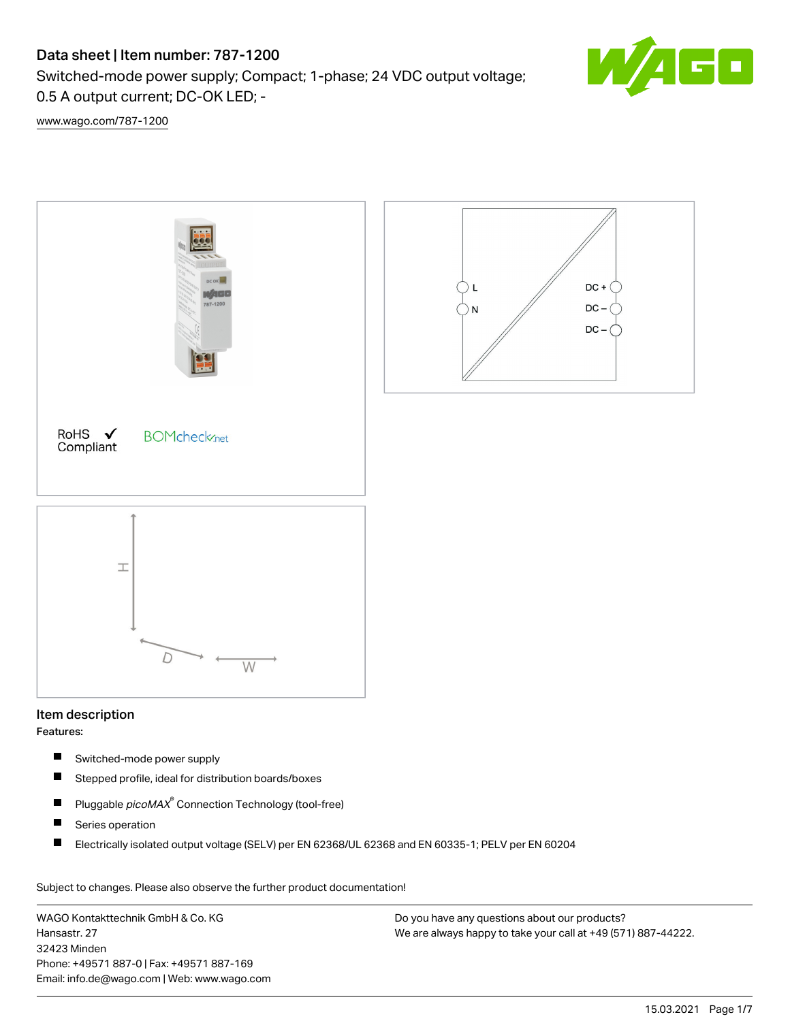# Data sheet | Item number: 787-1200

Switched-mode power supply; Compact; 1-phase; 24 VDC output voltage; 0.5 A output current; DC-OK LED; -



[www.wago.com/787-1200](http://www.wago.com/787-1200)



## Item description

Features:

- $\blacksquare$ Switched-mode power supply
- $\blacksquare$ Stepped profile, ideal for distribution boards/boxes
- $\blacksquare$ Pluggable *picoMAX*<sup>®</sup> Connection Technology (tool-free)
- $\blacksquare$ Series operation
- $\blacksquare$ Electrically isolated output voltage (SELV) per EN 62368/UL 62368 and EN 60335-1; PELV per EN 60204

Subject to changes. Please also observe the further product documentation!

WAGO Kontakttechnik GmbH & Co. KG Hansastr. 27 32423 Minden Phone: +49571 887-0 | Fax: +49571 887-169 Email: info.de@wago.com | Web: www.wago.com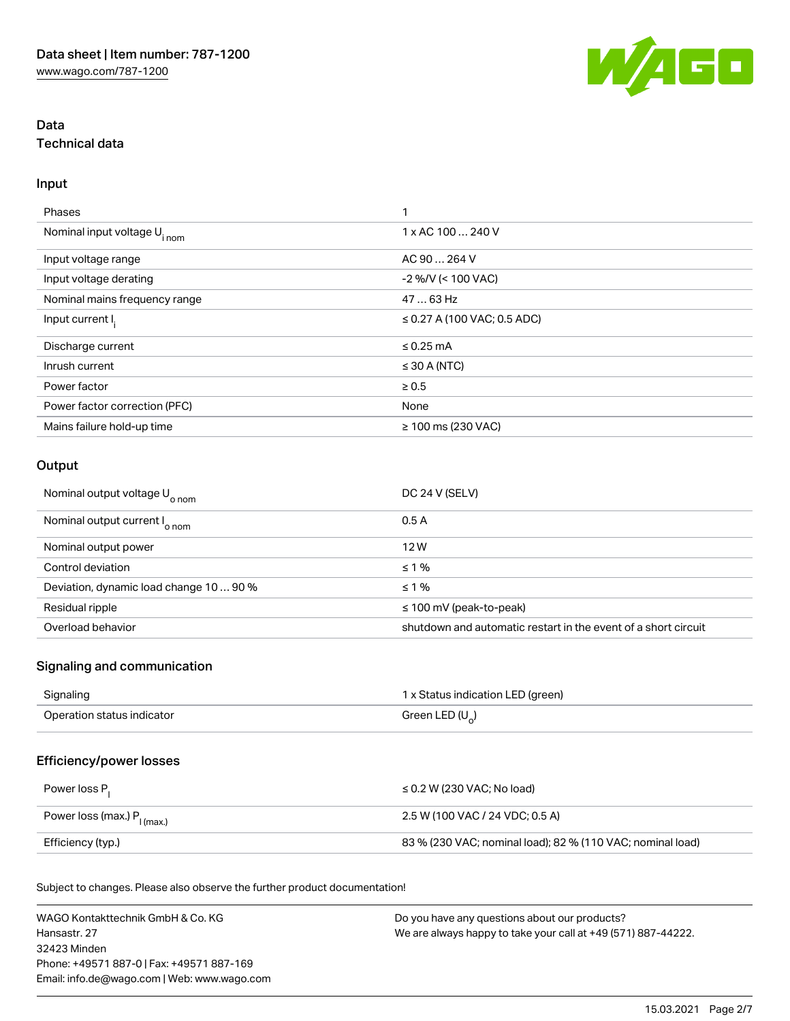

## Data Technical data

#### Input

| Phases                                  | ٠                                |
|-----------------------------------------|----------------------------------|
| Nominal input voltage U <sub>inom</sub> | 1 x AC 100  240 V                |
| Input voltage range                     | AC 90  264 V                     |
| Input voltage derating                  | $-2$ %/V (< 100 VAC)             |
| Nominal mains frequency range           | 47  63 Hz                        |
| Input current I <sub>i</sub>            | $\leq$ 0.27 A (100 VAC; 0.5 ADC) |
| Discharge current                       | $\leq$ 0.25 mA                   |
| Inrush current                          | $\leq$ 30 A (NTC)                |
| Power factor                            | $\geq 0.5$                       |
| Power factor correction (PFC)           | None                             |
| Mains failure hold-up time              | $≥ 100$ ms (230 VAC)             |

## **Output**

| Nominal output voltage U <sub>o nom</sub> | DC 24 V (SELV)                                                 |
|-------------------------------------------|----------------------------------------------------------------|
| Nominal output current I <sub>o nom</sub> | 0.5A                                                           |
| Nominal output power                      | 12W                                                            |
| Control deviation                         | $\leq 1\%$                                                     |
| Deviation, dynamic load change 10  90 %   | $\leq 1\%$                                                     |
| Residual ripple                           | $\leq$ 100 mV (peak-to-peak)                                   |
| Overload behavior                         | shutdown and automatic restart in the event of a short circuit |

## Signaling and communication

| Signaling                  | 1 x Status indication LED (green) |
|----------------------------|-----------------------------------|
| Operation status indicator | Green LED ( $U_{\alpha}$ )        |

## Efficiency/power losses

| Power loss P <sub>1</sub>               | $\leq$ 0.2 W (230 VAC: No load)                            |
|-----------------------------------------|------------------------------------------------------------|
| Power loss (max.) P <sub>I (max.)</sub> | 2.5 W (100 VAC / 24 VDC: 0.5 A)                            |
| Efficiency (typ.)                       | 83 % (230 VAC; nominal load); 82 % (110 VAC; nominal load) |

Subject to changes. Please also observe the further product documentation!

| WAGO Kontakttechnik GmbH & Co. KG           | Do you have any questions about our products?                 |
|---------------------------------------------|---------------------------------------------------------------|
| Hansastr. 27                                | We are always happy to take your call at +49 (571) 887-44222. |
| 32423 Minden                                |                                                               |
| Phone: +49571 887-01 Fax: +49571 887-169    |                                                               |
| Email: info.de@wago.com   Web: www.wago.com |                                                               |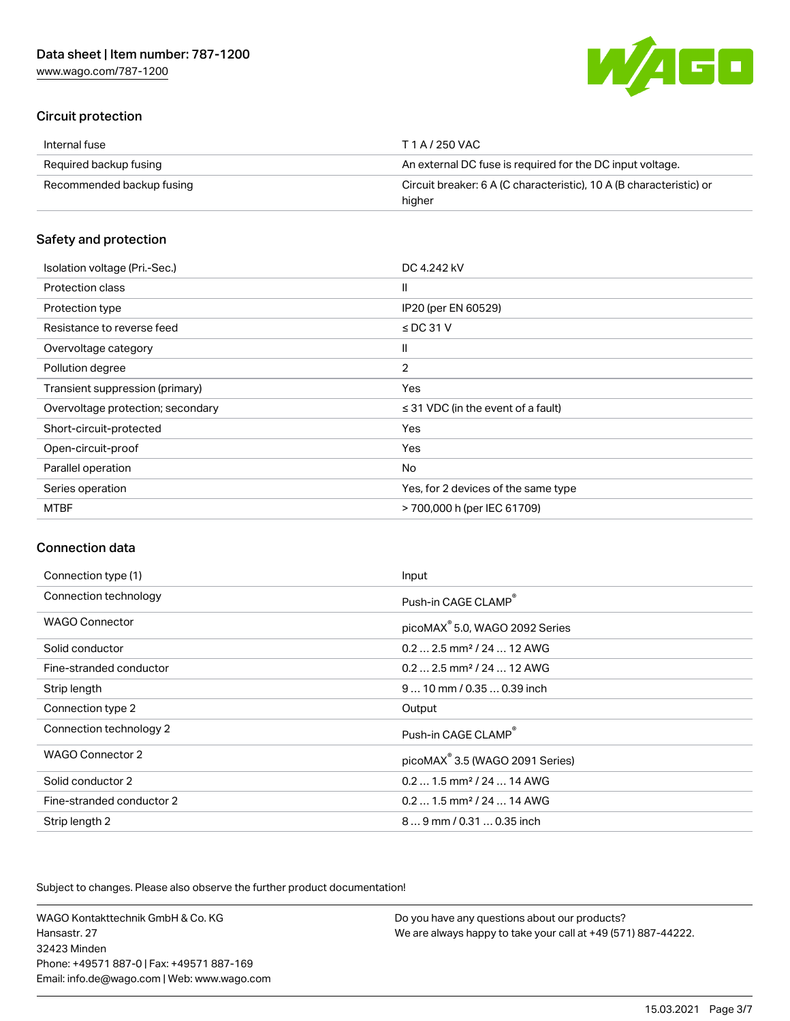[www.wago.com/787-1200](http://www.wago.com/787-1200)



### Circuit protection

| Internal fuse             | T 1 A / 250 VAC                                                               |
|---------------------------|-------------------------------------------------------------------------------|
| Required backup fusing    | An external DC fuse is required for the DC input voltage.                     |
| Recommended backup fusing | Circuit breaker: 6 A (C characteristic), 10 A (B characteristic) or<br>higher |

### Safety and protection

| Isolation voltage (Pri.-Sec.)     | DC 4.242 kV                             |
|-----------------------------------|-----------------------------------------|
| Protection class                  | $\mathsf{I}$                            |
| Protection type                   | IP20 (per EN 60529)                     |
| Resistance to reverse feed        | $\le$ DC 31 V                           |
| Overvoltage category              | Ш                                       |
| Pollution degree                  | $\overline{2}$                          |
| Transient suppression (primary)   | Yes                                     |
| Overvoltage protection; secondary | $\leq$ 31 VDC (in the event of a fault) |
| Short-circuit-protected           | Yes                                     |
| Open-circuit-proof                | Yes                                     |
| Parallel operation                | No                                      |
| Series operation                  | Yes, for 2 devices of the same type     |
| <b>MTBF</b>                       | > 700,000 h (per IEC 61709)             |

#### Connection data

| Connection type (1)       | Input                                       |
|---------------------------|---------------------------------------------|
| Connection technology     | Push-in CAGE CLAMP®                         |
| <b>WAGO Connector</b>     | picoMAX <sup>®</sup> 5.0, WAGO 2092 Series  |
| Solid conductor           | $0.22.5$ mm <sup>2</sup> / 24  12 AWG       |
| Fine-stranded conductor   | $0.22.5$ mm <sup>2</sup> / 24  12 AWG       |
| Strip length              | $910$ mm $/$ 0.35  0.39 inch                |
| Connection type 2         | Output                                      |
| Connection technology 2   | Push-in CAGE CLAMP®                         |
| WAGO Connector 2          | picoMAX <sup>®</sup> 3.5 (WAGO 2091 Series) |
| Solid conductor 2         | $0.21.5$ mm <sup>2</sup> / 24  14 AWG       |
| Fine-stranded conductor 2 | $0.21.5$ mm <sup>2</sup> / 24  14 AWG       |
| Strip length 2            | 89 mm / 0.31  0.35 inch                     |

Subject to changes. Please also observe the further product documentation!

WAGO Kontakttechnik GmbH & Co. KG Hansastr. 27 32423 Minden Phone: +49571 887-0 | Fax: +49571 887-169 Email: info.de@wago.com | Web: www.wago.com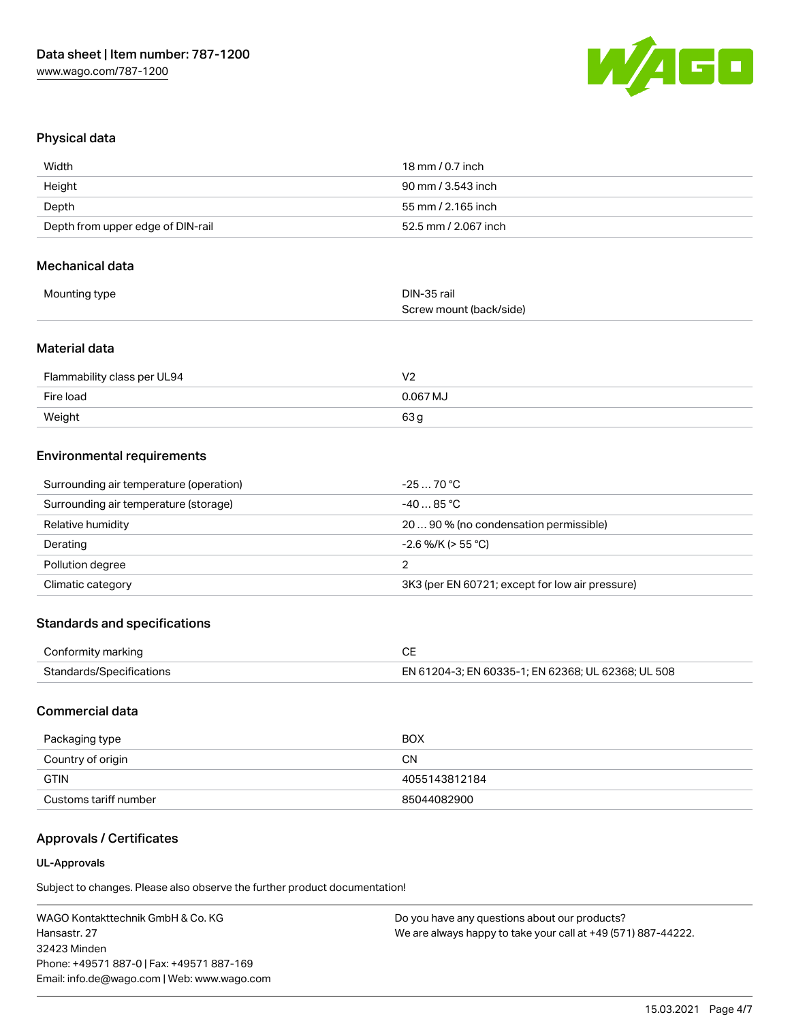

#### Physical data

| Width                             | 18 mm / 0.7 inch     |
|-----------------------------------|----------------------|
| Height                            | 90 mm / 3.543 inch   |
| Depth                             | 55 mm / 2.165 inch   |
| Depth from upper edge of DIN-rail | 52.5 mm / 2.067 inch |

#### Mechanical data

| Mounting type | DIN-35 rail             |
|---------------|-------------------------|
|               | Screw mount (back/side) |

#### Material data

| Flammability class per UL94 | V۶         |
|-----------------------------|------------|
| Fire load                   | $0.067$ MJ |
| Weight                      | 63 g       |

#### Environmental requirements

| Surrounding air temperature (operation) | $-2570 °C$                                      |
|-----------------------------------------|-------------------------------------------------|
| Surrounding air temperature (storage)   | -40  85 °C                                      |
| Relative humidity                       | 2090% (no condensation permissible)             |
| Derating                                | $-2.6$ %/K (> 55 °C)                            |
| Pollution degree                        |                                                 |
| Climatic category                       | 3K3 (per EN 60721; except for low air pressure) |

#### Standards and specifications

| Conformity marking       |                                                    |
|--------------------------|----------------------------------------------------|
| Standards/Specifications | EN 61204-3; EN 60335-1; EN 62368; UL 62368; UL 508 |

### Commercial data

| Packaging type        | <b>BOX</b>    |
|-----------------------|---------------|
| Country of origin     | <b>CN</b>     |
| <b>GTIN</b>           | 4055143812184 |
| Customs tariff number | 85044082900   |

## Approvals / Certificates

#### UL-Approvals

Subject to changes. Please also observe the further product documentation!

WAGO Kontakttechnik GmbH & Co. KG Hansastr. 27 32423 Minden Phone: +49571 887-0 | Fax: +49571 887-169 Email: info.de@wago.com | Web: www.wago.com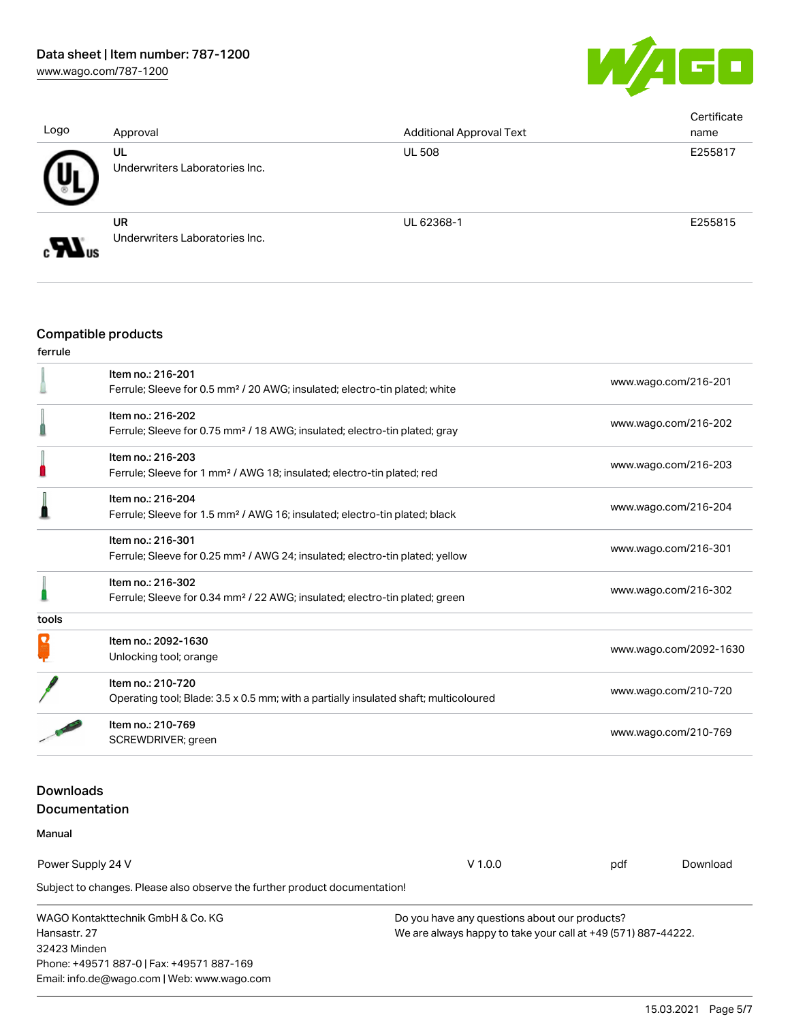

| Logo | Approval                                    | <b>Additional Approval Text</b> | Certificate<br>name |
|------|---------------------------------------------|---------------------------------|---------------------|
|      | UL<br>Underwriters Laboratories Inc.        | <b>UL 508</b>                   | E255817             |
| ov.  | <b>UR</b><br>Underwriters Laboratories Inc. | UL 62368-1                      | E255815             |

### Compatible products

## ferrule

32423 Minden

Phone: +49571 887-0 | Fax: +49571 887-169 Email: info.de@wago.com | Web: www.wago.com

|                                   | Item no.: 216-201<br>Ferrule; Sleeve for 0.5 mm <sup>2</sup> / 20 AWG; insulated; electro-tin plated; white |                                                                                      |                                                               | www.wago.com/216-201 |  |  |
|-----------------------------------|-------------------------------------------------------------------------------------------------------------|--------------------------------------------------------------------------------------|---------------------------------------------------------------|----------------------|--|--|
|                                   | Item no.: 216-202                                                                                           |                                                                                      |                                                               |                      |  |  |
|                                   | Ferrule; Sleeve for 0.75 mm <sup>2</sup> / 18 AWG; insulated; electro-tin plated; gray                      |                                                                                      |                                                               | www.wago.com/216-202 |  |  |
|                                   | Item no.: 216-203                                                                                           |                                                                                      |                                                               | www.wago.com/216-203 |  |  |
|                                   | Ferrule; Sleeve for 1 mm <sup>2</sup> / AWG 18; insulated; electro-tin plated; red                          |                                                                                      |                                                               |                      |  |  |
|                                   | Item no.: 216-204                                                                                           |                                                                                      |                                                               |                      |  |  |
|                                   | Ferrule; Sleeve for 1.5 mm <sup>2</sup> / AWG 16; insulated; electro-tin plated; black                      |                                                                                      |                                                               | www.wago.com/216-204 |  |  |
|                                   | Item no.: 216-301                                                                                           |                                                                                      |                                                               |                      |  |  |
|                                   | Ferrule; Sleeve for 0.25 mm <sup>2</sup> / AWG 24; insulated; electro-tin plated; yellow                    |                                                                                      |                                                               | www.wago.com/216-301 |  |  |
|                                   | Item no.: 216-302                                                                                           |                                                                                      |                                                               |                      |  |  |
|                                   | Ferrule; Sleeve for 0.34 mm <sup>2</sup> / 22 AWG; insulated; electro-tin plated; green                     |                                                                                      |                                                               | www.wago.com/216-302 |  |  |
| tools                             |                                                                                                             |                                                                                      |                                                               |                      |  |  |
|                                   | Item no.: 2092-1630<br>Unlocking tool; orange                                                               |                                                                                      | www.wago.com/2092-1630                                        |                      |  |  |
|                                   |                                                                                                             |                                                                                      |                                                               |                      |  |  |
|                                   | Item no.: 210-720                                                                                           |                                                                                      |                                                               |                      |  |  |
|                                   |                                                                                                             | Operating tool; Blade: 3.5 x 0.5 mm; with a partially insulated shaft; multicoloured |                                                               | www.wago.com/210-720 |  |  |
|                                   | Item no.: 210-769                                                                                           |                                                                                      |                                                               |                      |  |  |
|                                   | SCREWDRIVER; green                                                                                          |                                                                                      | www.wago.com/210-769                                          |                      |  |  |
| <b>Downloads</b>                  |                                                                                                             |                                                                                      |                                                               |                      |  |  |
|                                   | <b>Documentation</b>                                                                                        |                                                                                      |                                                               |                      |  |  |
| Manual                            |                                                                                                             |                                                                                      |                                                               |                      |  |  |
| Power Supply 24 V                 |                                                                                                             | $V$ 1.0.0                                                                            | pdf                                                           | Download             |  |  |
|                                   | Subject to changes. Please also observe the further product documentation!                                  |                                                                                      |                                                               |                      |  |  |
| WAGO Kontakttechnik GmbH & Co. KG |                                                                                                             |                                                                                      | Do you have any questions about our products?                 |                      |  |  |
| Hansastr. 27                      |                                                                                                             |                                                                                      | We are always happy to take your call at +49 (571) 887-44222. |                      |  |  |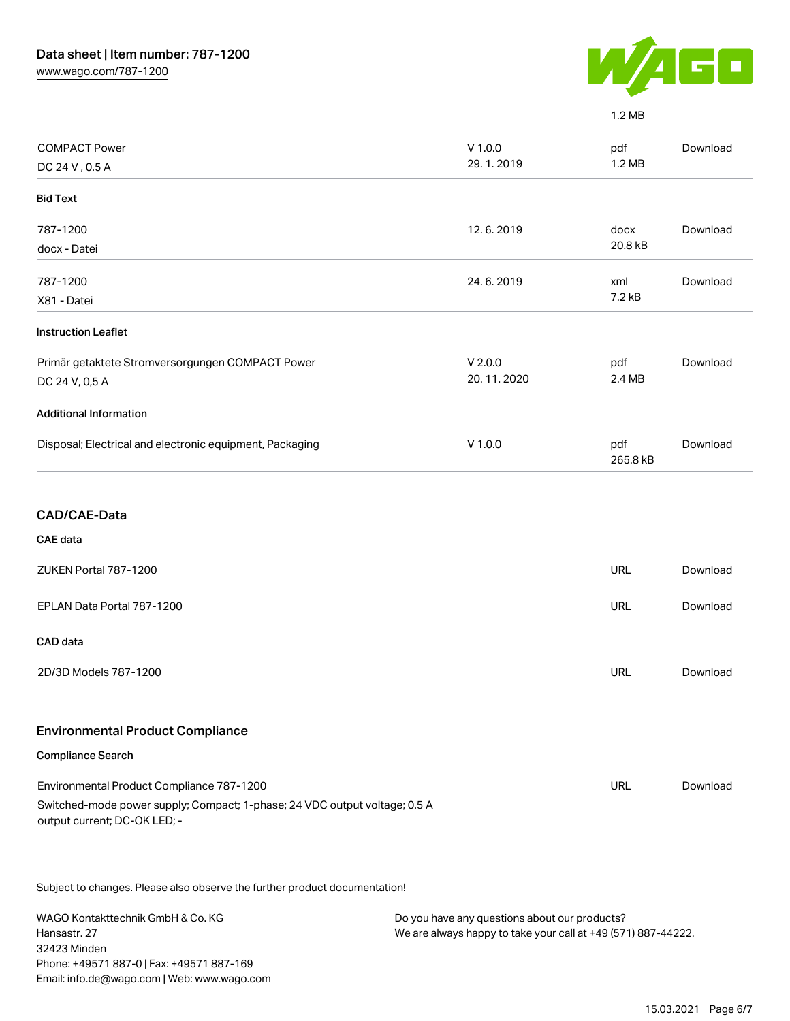

|                                                          |                        | 1.2 MB          |          |
|----------------------------------------------------------|------------------------|-----------------|----------|
| <b>COMPACT Power</b><br>DC 24 V, 0.5 A                   | $V$ 1.0.0<br>29.1.2019 | pdf<br>1.2 MB   | Download |
| <b>Bid Text</b>                                          |                        |                 |          |
| 787-1200                                                 | 12.6.2019              | docx            | Download |
| docx - Datei                                             |                        | 20.8 kB         |          |
| 787-1200                                                 | 24.6.2019              | xml             | Download |
| X81 - Datei                                              |                        | 7.2 kB          |          |
| <b>Instruction Leaflet</b>                               |                        |                 |          |
| Primär getaktete Stromversorgungen COMPACT Power         | V 2.0.0                | pdf             | Download |
| DC 24 V, 0,5 A                                           | 20.11.2020             | 2.4 MB          |          |
| <b>Additional Information</b>                            |                        |                 |          |
| Disposal; Electrical and electronic equipment, Packaging | $V$ 1.0.0              | pdf<br>265.8 kB | Download |
| CAD/CAE-Data                                             |                        |                 |          |
| <b>CAE</b> data                                          |                        |                 |          |
| ZUKEN Portal 787-1200                                    |                        | <b>URL</b>      | Download |
| EPLAN Data Portal 787-1200                               |                        | <b>URL</b>      | Download |
| CAD data                                                 |                        |                 |          |
| 2D/3D Models 787-1200                                    |                        | <b>URL</b>      | Download |
|                                                          |                        |                 |          |

#### Environmental Product Compliance

## Compliance Search Environmental Product Compliance 787-1200 Switched-mode power supply; Compact; 1-phase; 24 VDC output voltage; 0.5 A output current; DC-OK LED; - URL [Download](https://www.wago.com/global/d/ComplianceLinkMediaContainer_787-1200)

Subject to changes. Please also observe the further product documentation!

WAGO Kontakttechnik GmbH & Co. KG Hansastr. 27 32423 Minden Phone: +49571 887-0 | Fax: +49571 887-169 Email: info.de@wago.com | Web: www.wago.com